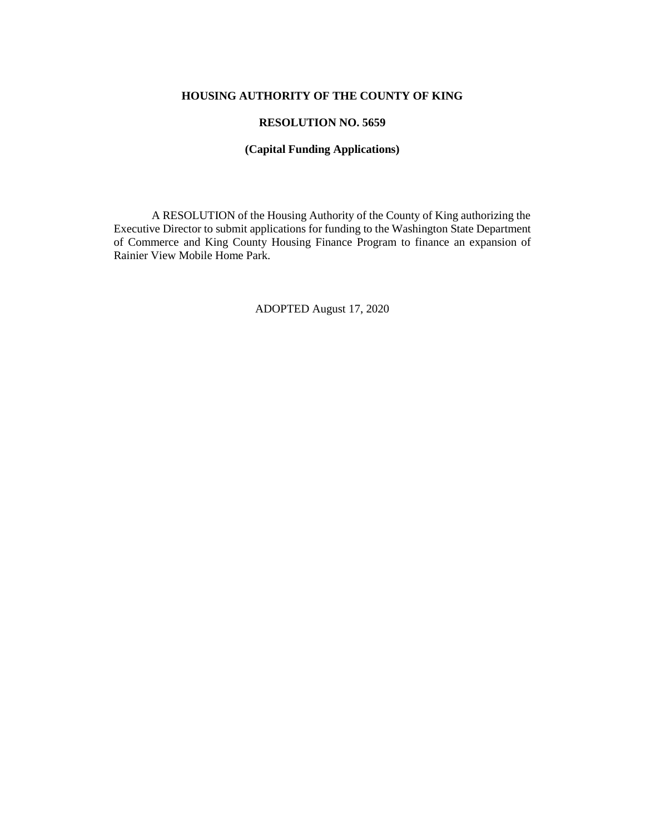# **HOUSING AUTHORITY OF THE COUNTY OF KING**

## **RESOLUTION NO. 5659**

#### **(Capital Funding Applications)**

A RESOLUTION of the Housing Authority of the County of King authorizing the Executive Director to submit applications for funding to the Washington State Department of Commerce and King County Housing Finance Program to finance an expansion of Rainier View Mobile Home Park.

ADOPTED August 17, 2020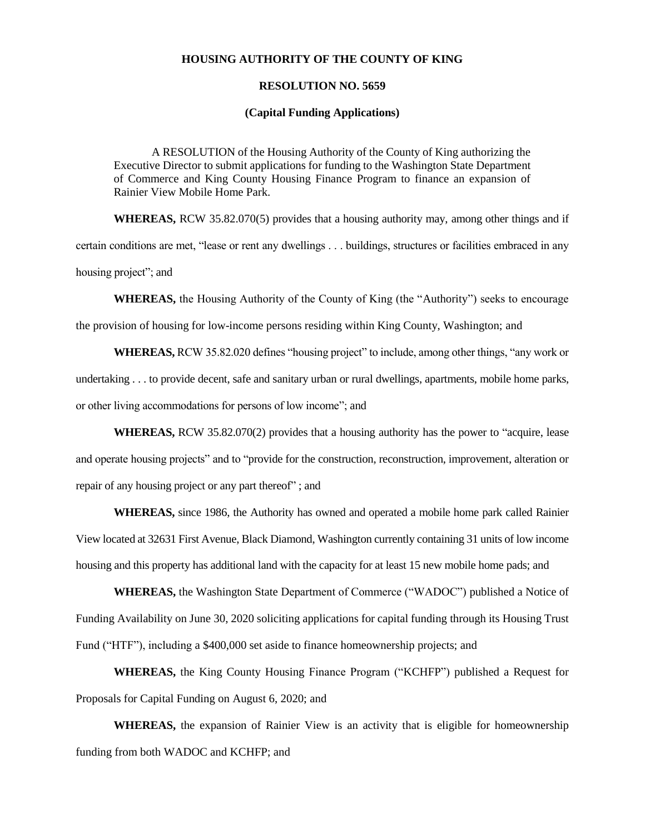#### **HOUSING AUTHORITY OF THE COUNTY OF KING**

### **RESOLUTION NO. 5659**

#### **(Capital Funding Applications)**

A RESOLUTION of the Housing Authority of the County of King authorizing the Executive Director to submit applications for funding to the Washington State Department of Commerce and King County Housing Finance Program to finance an expansion of Rainier View Mobile Home Park.

**WHEREAS,** RCW 35.82.070(5) provides that a housing authority may, among other things and if certain conditions are met, "lease or rent any dwellings . . . buildings, structures or facilities embraced in any housing project"; and

**WHEREAS,** the Housing Authority of the County of King (the "Authority") seeks to encourage

the provision of housing for low-income persons residing within King County, Washington; and

**WHEREAS,** RCW 35.82.020 defines "housing project" to include, among other things, "any work or undertaking . . . to provide decent, safe and sanitary urban or rural dwellings, apartments, mobile home parks, or other living accommodations for persons of low income"; and

**WHEREAS,** RCW 35.82.070(2) provides that a housing authority has the power to "acquire, lease and operate housing projects" and to "provide for the construction, reconstruction, improvement, alteration or repair of any housing project or any part thereof" ; and

**WHEREAS,** since 1986, the Authority has owned and operated a mobile home park called Rainier View located at 32631 First Avenue, Black Diamond, Washington currently containing 31 units of low income housing and this property has additional land with the capacity for at least 15 new mobile home pads; and

**WHEREAS,** the Washington State Department of Commerce ("WADOC") published a Notice of Funding Availability on June 30, 2020 soliciting applications for capital funding through its Housing Trust Fund ("HTF"), including a \$400,000 set aside to finance homeownership projects; and

**WHEREAS,** the King County Housing Finance Program ("KCHFP") published a Request for Proposals for Capital Funding on August 6, 2020; and

**WHEREAS,** the expansion of Rainier View is an activity that is eligible for homeownership funding from both WADOC and KCHFP; and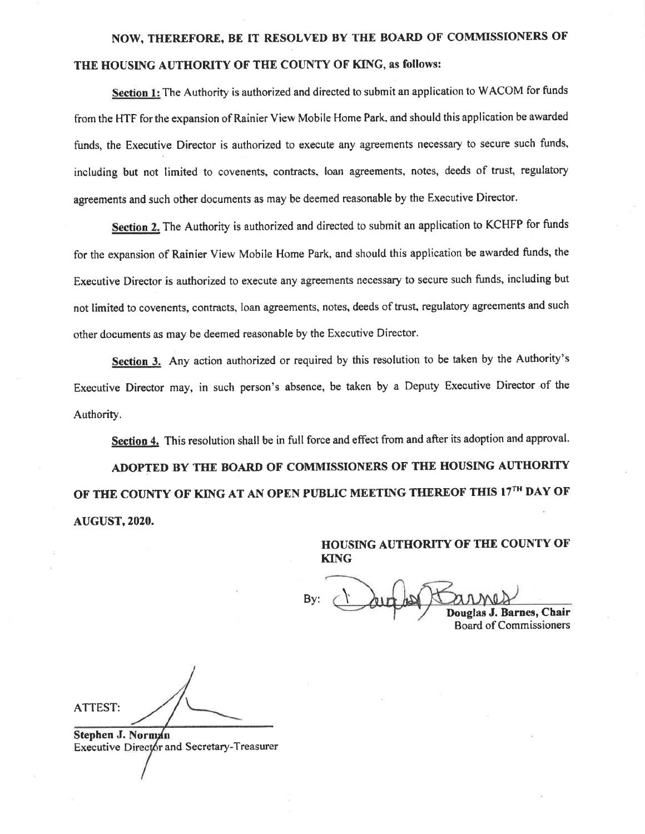# NOW, THEREFORE, BE IT RESOLVED BY THE BOARD OF COMMISSIONERS OF THE HOUSING AUTHORITY OF THE COUNTY OF KING, as follows:

Section 1: The Authority is authorized and directed to submit an application to WACOM for funds from the HTF for the expansion of Rainier View Mobile Home Park, and should this application be awarded funds, the Executive Director is authorized to execute any agreements necessary to secure such funds, including but not limited to covenents, contracts, loan agreements, notes, deeds of trust, regulatory agreements and such other documents as may be deemed reasonable by the Executive Director.

Section 2. The Authority is authorized and directed to submit an application to KCHFP for funds for the expansion of Rainier View Mobile Home Park, and should this application be awarded funds, the Executive Director is authorized to execute any agreements necessary to secure such funds, including but not limited to covenents, contracts, loan agreements, notes, deeds of trust, regulatory agreements and such other documents as may be deemed reasonable by the Executive Director.

Section 3. Any action authorized or required by this resolution to be taken by the Authority's Executive Director may, in such person's absence, be taken by a Deputy Executive Director of the Authority.

Section 4. This resolution shall be in full force and effect from and after its adoption and approval. ADOPTED BY THE BOARD OF COMMISSIONERS OF THE HOUSING AUTHORITY OF THE COUNTY OF KING AT AN OPEN PUBLIC MEETING THEREOF THIS 17TH DAY OF **AUGUST, 2020.** 

> HOUSING AUTHORITY OF THE COUNTY OF **KING**

By:  $\bigcup \mathcal{U}$ 

Douglas J. Barnes, Chair **Board of Commissioners** 

**ATTEST:** 

Stephen J. Norman Executive Director and Secretary-Treasurer